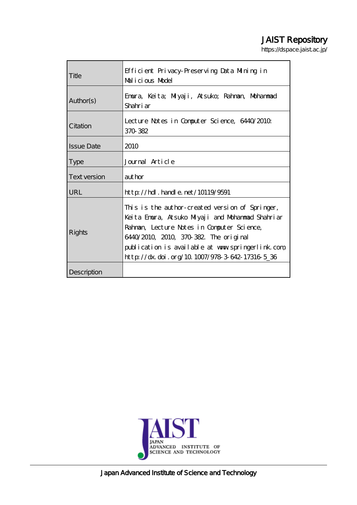# JAIST Repository

https://dspace.jaist.ac.jp/

| Title               | Efficient Privacy-Preserving Data Mining in<br>Malicious Model                                                                                                                                                                                                                                      |  |  |  |  |
|---------------------|-----------------------------------------------------------------------------------------------------------------------------------------------------------------------------------------------------------------------------------------------------------------------------------------------------|--|--|--|--|
| Author(s)           | Emora, Keita; Miyaji, Atsuko; Rahman, Mohammad<br>Shahri ar                                                                                                                                                                                                                                         |  |  |  |  |
| Citation            | Lecture Notes in Computer Science, 6440/2010<br>370 382                                                                                                                                                                                                                                             |  |  |  |  |
| <b>Issue Date</b>   | 2010                                                                                                                                                                                                                                                                                                |  |  |  |  |
| <b>Type</b>         | Journal Article                                                                                                                                                                                                                                                                                     |  |  |  |  |
| <b>Text version</b> | author                                                                                                                                                                                                                                                                                              |  |  |  |  |
| URL                 | $http$ // $hdl$ . handle. net/10119/9591                                                                                                                                                                                                                                                            |  |  |  |  |
| Rights              | This is the author-created version of Springer,<br>Keita Emura, Atsuko Milyaji and Mohammad Shahriar<br>Rahman, Lecture Notes in Computer Science,<br>6440/2010, 2010, 370-382. The original<br>publication is available at www.springerlink.com.<br>http://dx.doi.org/10.1007/978-3-642-17316-5_36 |  |  |  |  |
| Description         |                                                                                                                                                                                                                                                                                                     |  |  |  |  |



Japan Advanced Institute of Science and Technology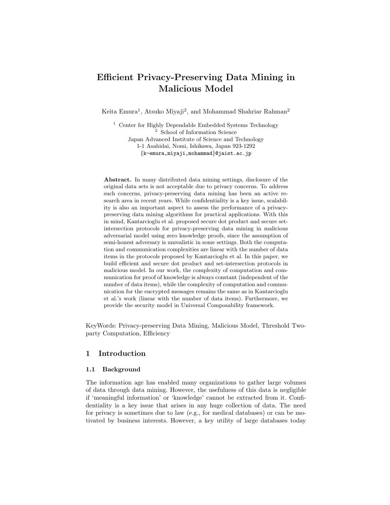# Efficient Privacy-Preserving Data Mining in Malicious Model

Keita Emura<sup>1</sup>, Atsuko Miyaji<sup>2</sup>, and Mohammad Shahriar Rahman<sup>2</sup>

<sup>1</sup> Center for Highly Dependable Embedded Systems Technology <sup>2</sup> School of Information Science Japan Advanced Institute of Science and Technology 1-1 Asahidai, Nomi, Ishikawa, Japan 923-1292 {k-emura,miyaji,mohammad}@jaist.ac.jp

Abstract. In many distributed data mining settings, disclosure of the original data sets is not acceptable due to privacy concerns. To address such concerns, privacy-preserving data mining has been an active research area in recent years. While confidentiality is a key issue, scalability is also an important aspect to assess the performance of a privacypreserving data mining algorithms for practical applications. With this in mind, Kantarcioglu et al. proposed secure dot product and secure setintersection protocols for privacy-preserving data mining in malicious adversarial model using zero knowledge proofs, since the assumption of semi-honest adversary is unrealistic in some settings. Both the computation and communication complexities are linear with the number of data items in the protocols proposed by Kantarcioglu et al. In this paper, we build efficient and secure dot product and set-intersection protocols in malicious model. In our work, the complexity of computation and communication for proof of knowledge is always constant (independent of the number of data items), while the complexity of computation and communication for the encrypted messages remains the same as in Kantarcioglu et al.'s work (linear with the number of data items). Furthermore, we provide the security model in Universal Composability framework.

KeyWords: Privacy-preserving Data Mining, Malicious Model, Threshold Twoparty Computation, Efficiency

# 1 Introduction

### 1.1 Background

The information age has enabled many organizations to gather large volumes of data through data mining. However, the usefulness of this data is negligible if 'meaningful information' or 'knowledge' cannot be extracted from it. Confidentiality is a key issue that arises in any huge collection of data. The need for privacy is sometimes due to law (e.g., for medical databases) or can be motivated by business interests. However, a key utility of large databases today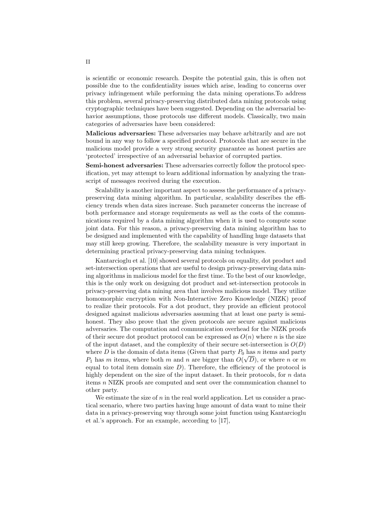is scientific or economic research. Despite the potential gain, this is often not possible due to the confidentiality issues which arise, leading to concerns over privacy infringement while performing the data mining operations.To address this problem, several privacy-preserving distributed data mining protocols using cryptographic techniques have been suggested. Depending on the adversarial behavior assumptions, those protocols use different models. Classically, two main categories of adversaries have been considered:

Malicious adversaries: These adversaries may behave arbitrarily and are not bound in any way to follow a specified protocol. Protocols that are secure in the malicious model provide a very strong security guarantee as honest parties are 'protected' irrespective of an adversarial behavior of corrupted parties.

Semi-honest adversaries: These adversaries correctly follow the protocol specification, yet may attempt to learn additional information by analyzing the transcript of messages received during the execution.

Scalability is another important aspect to assess the performance of a privacypreserving data mining algorithm. In particular, scalability describes the efficiency trends when data sizes increase. Such parameter concerns the increase of both performance and storage requirements as well as the costs of the communications required by a data mining algorithm when it is used to compute some joint data. For this reason, a privacy-preserving data mining algorithm has to be designed and implemented with the capability of handling huge datasets that may still keep growing. Therefore, the scalability measure is very important in determining practical privacy-preserving data mining techniques.

Kantarcioglu et al. [10] showed several protocols on equality, dot product and set-intersection operations that are useful to design privacy-preserving data mining algorithms in malicious model for the first time. To the best of our knowledge, this is the only work on designing dot product and set-intersection protocols in privacy-preserving data mining area that involves malicious model. They utilize homomorphic encryption with Non-Interactive Zero Knowledge (NIZK) proof to realize their protocols. For a dot product, they provide an efficient protocol designed against malicious adversaries assuming that at least one party is semihonest. They also prove that the given protocols are secure against malicious adversaries. The computation and communication overhead for the NIZK proofs of their secure dot product protocol can be expressed as  $O(n)$  where n is the size of the input dataset, and the complexity of their secure set-intersection is  $O(D)$ where D is the domain of data items (Given that party  $P_0$  has n items and party  $P_1$  has m items, where both m and n are bigger than  $O(\sqrt{D})$ , or where n or m equal to total item domain size  $D$ ). Therefore, the efficiency of the protocol is highly dependent on the size of the input dataset. In their protocols, for  $n$  data items n NIZK proofs are computed and sent over the communication channel to other party.

We estimate the size of  $n$  in the real world application. Let us consider a practical scenario, where two parties having huge amount of data want to mine their data in a privacy-preserving way through some joint function using Kantarcioglu et al.'s approach. For an example, according to [17],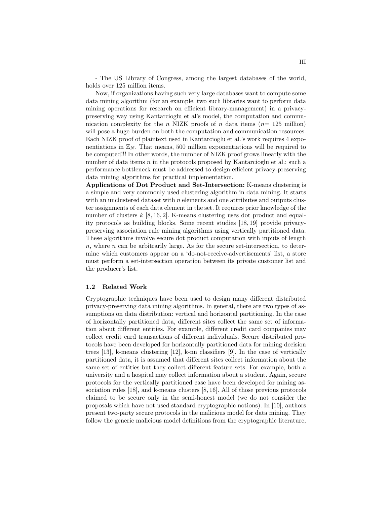- The US Library of Congress, among the largest databases of the world, holds over 125 million items.

Now, if organizations having such very large databases want to compute some data mining algorithm (for an example, two such libraries want to perform data mining operations for research on efficient library-management) in a privacypreserving way using Kantarcioglu et al's model, the computation and communication complexity for the n NIZK proofs of n data items  $(n= 125 \text{ million})$ will pose a huge burden on both the computation and communication resources. Each NIZK proof of plaintext used in Kantarcioglu et al.'s work requires 4 exponentiations in  $\mathbb{Z}_N$ . That means, 500 million exponentiations will be required to be computed!!! In other words, the number of NIZK proof grows linearly with the number of data items n in the protocols proposed by Kantarcioglu et al.; such a performance bottleneck must be addressed to design efficient privacy-preserving data mining algorithms for practical implementation.

Applications of Dot Product and Set-Intersection: K-means clustering is a simple and very commonly used clustering algorithm in data mining. It starts with an unclustered dataset with  $n$  elements and one attributes and outputs cluster assignments of each data element in the set. It requires prior knowledge of the number of clusters k [8, 16, 2]. K-means clustering uses dot product and equality protocols as building blocks. Some recent studies [18, 19] provide privacypreserving association rule mining algorithms using vertically partitioned data. These algorithms involve secure dot product computation with inputs of length  $n$ , where  $n$  can be arbitrarily large. As for the secure set-intersection, to determine which customers appear on a 'do-not-receive-advertisements' list, a store must perform a set-intersection operation between its private customer list and the producer's list.

#### 1.2 Related Work

Cryptographic techniques have been used to design many different distributed privacy-preserving data mining algorithms. In general, there are two types of assumptions on data distribution: vertical and horizontal partitioning. In the case of horizontally partitioned data, different sites collect the same set of information about different entities. For example, different credit card companies may collect credit card transactions of different individuals. Secure distributed protocols have been developed for horizontally partitioned data for mining decision trees [13], k-means clustering [12], k-nn classifiers [9]. In the case of vertically partitioned data, it is assumed that different sites collect information about the same set of entities but they collect different feature sets. For example, both a university and a hospital may collect information about a student. Again, secure protocols for the vertically partitioned case have been developed for mining association rules [18], and k-means clusters [8, 16]. All of those previous protocols claimed to be secure only in the semi-honest model (we do not consider the proposals which have not used standard cryptographic notions). In [10], authors present two-party secure protocols in the malicious model for data mining. They follow the generic malicious model definitions from the cryptographic literature,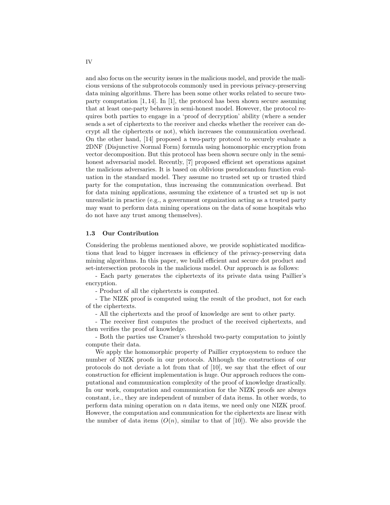and also focus on the security issues in the malicious model, and provide the malicious versions of the subprotocols commonly used in previous privacy-preserving data mining algorithms. There has been some other works related to secure twoparty computation [1, 14]. In [1], the protocol has been shown secure assuming that at least one-party behaves in semi-honest model. However, the protocol requires both parties to engage in a 'proof of decryption' ability (where a sender sends a set of ciphertexts to the receiver and checks whether the receiver can decrypt all the ciphertexts or not), which increases the communication overhead. On the other hand, [14] proposed a two-party protocol to securely evaluate a 2DNF (Disjunctive Normal Form) formula using homomorphic encryption from vector decomposition. But this protocol has been shown secure only in the semihonest adversarial model. Recently, [7] proposed efficient set operations against the malicious adversaries. It is based on oblivious pseudorandom function evaluation in the standard model. They assume no trusted set up or trusted third party for the computation, thus increasing the communication overhead. But for data mining applications, assuming the existence of a trusted set up is not unrealistic in practice (e.g., a government organization acting as a trusted party may want to perform data mining operations on the data of some hospitals who do not have any trust among themselves).

#### 1.3 Our Contribution

Considering the problems mentioned above, we provide sophisticated modifications that lead to bigger increases in efficiency of the privacy-preserving data mining algorithms. In this paper, we build efficient and secure dot product and set-intersection protocols in the malicious model. Our approach is as follows:

- Each party generates the ciphertexts of its private data using Paillier's encryption.

- Product of all the ciphertexts is computed.

- The NIZK proof is computed using the result of the product, not for each of the ciphertexts.

- All the ciphertexts and the proof of knowledge are sent to other party.

- The receiver first computes the product of the received ciphertexts, and then verifies the proof of knowledge.

- Both the parties use Cramer's threshold two-party computation to jointly compute their data.

We apply the homomorphic property of Paillier cryptosystem to reduce the number of NIZK proofs in our protocols. Although the constructions of our protocols do not deviate a lot from that of [10], we say that the effect of our construction for efficient implementation is huge. Our approach reduces the computational and communication complexity of the proof of knowledge drastically. In our work, computation and communication for the NIZK proofs are always constant, i.e., they are independent of number of data items. In other words, to perform data mining operation on  $n$  data items, we need only one NIZK proof. However, the computation and communication for the ciphertexts are linear with the number of data items  $(O(n))$ , similar to that of [10]). We also provide the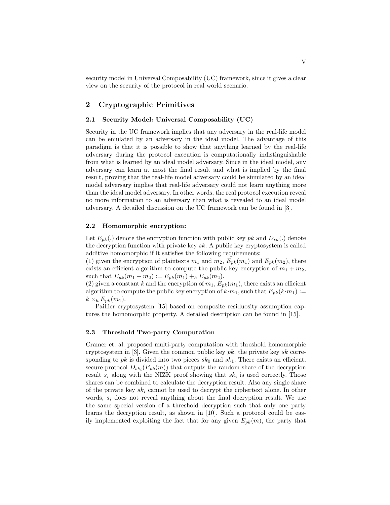security model in Universal Composability (UC) framework, since it gives a clear view on the security of the protocol in real world scenario.

# 2 Cryptographic Primitives

#### 2.1 Security Model: Universal Composability (UC)

Security in the UC framework implies that any adversary in the real-life model can be emulated by an adversary in the ideal model. The advantage of this paradigm is that it is possible to show that anything learned by the real-life adversary during the protocol execution is computationally indistinguishable from what is learned by an ideal model adversary. Since in the ideal model, any adversary can learn at most the final result and what is implied by the final result, proving that the real-life model adversary could be simulated by an ideal model adversary implies that real-life adversary could not learn anything more than the ideal model adversary. In other words, the real protocol execution reveal no more information to an adversary than what is revealed to an ideal model adversary. A detailed discussion on the UC framework can be found in [3].

#### 2.2 Homomorphic encryption:

Let  $E_{pk}(.)$  denote the encryption function with public key pk and  $D_{sk}(.)$  denote the decryption function with private key  $sk$ . A public key cryptosystem is called additive homomorphic if it satisfies the following requirements:

(1) given the encryption of plaintexts  $m_1$  and  $m_2$ ,  $E_{pk}(m_1)$  and  $E_{pk}(m_2)$ , there exists an efficient algorithm to compute the public key encryption of  $m_1 + m_2$ , such that  $E_{pk}(m_1 + m_2) := E_{pk}(m_1) + h E_{pk}(m_2)$ .

(2) given a constant k and the encryption of  $m_1, E_{pk}(m_1)$ , there exists an efficient algorithm to compute the public key encryption of  $k \cdot m_1$ , such that  $E_{pk}(k \cdot m_1) :=$  $k \times_h E_{pk}(m_1)$ .

Paillier cryptosystem [15] based on composite residuosity assumption captures the homomorphic property. A detailed description can be found in [15].

#### 2.3 Threshold Two-party Computation

Cramer et. al. proposed multi-party computation with threshold homomorphic cryptosystem in [3]. Given the common public key  $pk$ , the private key sk corresponding to pk is divided into two pieces  $sk_0$  and  $sk_1$ . There exists an efficient, secure protocol  $D_{sk_i}(E_{pk}(m))$  that outputs the random share of the decryption result  $s_i$  along with the NIZK proof showing that  $sk_i$  is used correctly. Those shares can be combined to calculate the decryption result. Also any single share of the private key  $sk_i$  cannot be used to decrypt the ciphertext alone. In other words,  $s_i$  does not reveal anything about the final decryption result. We use the same special version of a threshold decryption such that only one party learns the decryption result, as shown in [10]. Such a protocol could be easily implemented exploiting the fact that for any given  $E_{pk}(m)$ , the party that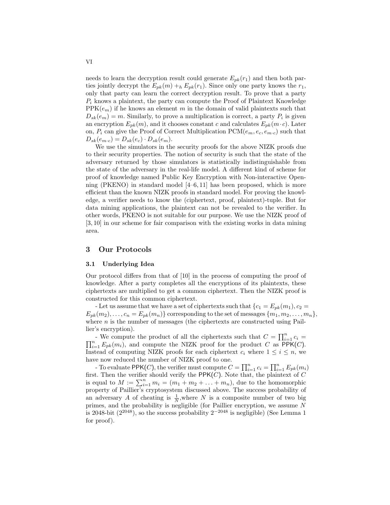needs to learn the decryption result could generate  $E_{pk}(r_1)$  and then both parties jointly decrypt the  $E_{pk}(m) +_h E_{pk}(r_1)$ . Since only one party knows the  $r_1$ , only that party can learn the correct decryption result. To prove that a party  $P_i$  knows a plaintext, the party can compute the Proof of Plaintext Knowledge  $PPK(e_m)$  if he knows an element m in the domain of valid plaintexts such that  $D_{sk}(e_m) = m$ . Similarly, to prove a multiplication is correct, a party  $P_i$  is given an encryption  $E_{pk}(m)$ , and it chooses constant c and calculates  $E_{pk}(m \cdot c)$ . Later on,  $P_i$  can give the Proof of Correct Multiplication  $PCM(e_m, e_c, e_{m-c})$  such that  $D_{sk}(e_{m\cdot c})=D_{sk}(e_c)\cdot D_{sk}(e_m).$ 

We use the simulators in the security proofs for the above NIZK proofs due to their security properties. The notion of security is such that the state of the adversary returned by those simulators is statistically indistinguishable from the state of the adversary in the real-life model. A different kind of scheme for proof of knowledge named Public Key Encryption with Non-interactive Openning (PKENO) in standard model [4–6, 11] has been proposed, which is more efficient than the known NIZK proofs in standard model. For proving the knowledge, a verifier needs to know the (ciphertext, proof, plaintext)-tuple. But for data mining applications, the plaintext can not be revealed to the verifier. In other words, PKENO is not suitable for our purpose. We use the NIZK proof of [3, 10] in our scheme for fair comparison with the existing works in data mining area.

### 3 Our Protocols

#### 3.1 Underlying Idea

Our protocol differs from that of [10] in the process of computing the proof of knowledge. After a party completes all the encryptions of its plaintexts, these ciphertexts are multiplied to get a common ciphertext. Then the NIZK proof is constructed for this common ciphertext.

- Let us assume that we have a set of ciphertexts such that  ${c_1 = E_{pk}(m_1), c_2 =$  $E_{pk}(m_2), \ldots, c_n = E_{pk}(m_n)$  corresponding to the set of messages  $\{m_1, m_2, \ldots, m_n\}$ , where  $n$  is the number of messages (the ciphertexts are constructed using Paillier's encryption).

- We compute the product of all the ciphertexts such that  $C = \prod_{i=1}^{n} c_i$  $\prod_{i=1}^n E_{pk}(m_i)$ , and compute the NIZK proof for the product C as  $\widetilde{\text{PPK}}(C)$ . Instead of computing NIZK proofs for each ciphertext  $c_i$  where  $1 \leq i \leq n$ , we have now reduced the number of NIZK proof to one.

- To evaluate PPK(C), the verifier must compute  $C = \prod_{i=1}^{n} c_i = \prod_{i=1}^{n} E_{pk}(m_i)$ first. Then the verifier should verify the  $PPK(C)$ . Note that, the plaintext of C is equal to  $M := \sum_{i=1}^n m_i = (m_1 + m_2 + \ldots + m_n)$ , due to the homomorphic property of Paillier's cryptosystem discussed above. The success probability of an adversary A of cheating is  $\frac{1}{N}$ , where N is a composite number of two big primes, and the probability is negligible (for Paillier encryption, we assume N is 2048-bit  $(2^{2048})$ , so the success probability  $2^{-2048}$  is negligible) (See Lemma 1 for proof).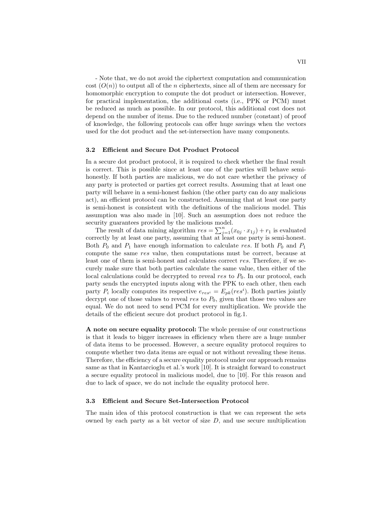- Note that, we do not avoid the ciphertext computation and communication cost  $(O(n))$  to output all of the n ciphertexts, since all of them are necessary for homomorphic encryption to compute the dot product or intersection. However, for practical implementation, the additional costs (i.e., PPK or PCM) must be reduced as much as possible. In our protocol, this additional cost does not depend on the number of items. Due to the reduced number (constant) of proof of knowledge, the following protocols can offer huge savings when the vectors used for the dot product and the set-intersection have many components.

#### 3.2 Efficient and Secure Dot Product Protocol

In a secure dot product protocol, it is required to check whether the final result is correct. This is possible since at least one of the parties will behave semihonestly. If both parties are malicious, we do not care whether the privacy of any party is protected or parties get correct results. Assuming that at least one party will behave in a semi-honest fashion (the other party can do any malicious act), an efficient protocol can be constructed. Assuming that at least one party is semi-honest is consistent with the definitions of the malicious model. This assumption was also made in [10]. Such an assumption does not reduce the security guarantees provided by the malicious model.

The result of data mining algorithm  $res = \sum_{j=1}^{n} (x_{0j} \cdot x_{1j}) + r_1$  is evaluated correctly by at least one party, assuming that at least one party is semi-honest. Both  $P_0$  and  $P_1$  have enough information to calculate res. If both  $P_0$  and  $P_1$ compute the same res value, then computations must be correct, because at least one of them is semi-honest and calculates correct res. Therefore, if we securely make sure that both parties calculate the same value, then either of the local calculations could be decrypted to reveal res to  $P_0$ . In our protocol, each party sends the encrypted inputs along with the PPK to each other, then each party  $P_i$  locally computes its respective  $e_{res^i} = E_{pk}(res^i)$ . Both parties jointly decrypt one of those values to reveal res to  $P_0$ , given that those two values are equal. We do not need to send PCM for every multiplication. We provide the details of the efficient secure dot product protocol in fig.1.

A note on secure equality protocol: The whole premise of our constructions is that it leads to bigger increases in efficiency when there are a huge number of data items to be processed. However, a secure equality protocol requires to compute whether two data items are equal or not without revealing these items. Therefore, the efficiency of a secure equality protocol under our approach remains same as that in Kantarcioglu et al.'s work [10]. It is straight forward to construct a secure equality protocol in malicious model, due to [10]. For this reason and due to lack of space, we do not include the equality protocol here.

#### 3.3 Efficient and Secure Set-Intersection Protocol

The main idea of this protocol construction is that we can represent the sets owned by each party as a bit vector of size  $D$ , and use secure multiplication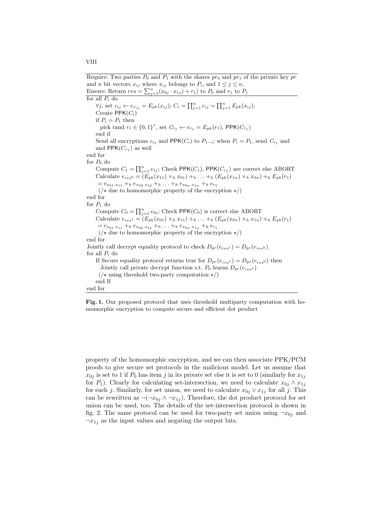for all  $P_i$  do  $\forall j$ , set  $c_{ij} \leftarrow e_{x_{ij}} = E_{pk}(x_{ij});$   $C_i = \prod_{j=1}^{n} c_{ij} = \prod_{j=1}^{n} E_{pk}(x_{ij});$ Create  $PPK(C_i)$ if  $P_i = P_1$  then pick rand  $r_1 \in \{0,1\}^*$ , set  $C_{r_1} \leftarrow e_{r_1} = E_{pk}(r_1)$ , PPK $(C_{r_1})$ end if Send all encryptions  $c_{ij}$  and PPK( $C_i$ ) to  $P_{1-i}$ ; when  $P_i = P_1$ , send  $C_{r_1}$  and and  $PPK(C_{r_1})$  as well end for for  $P_0$  do Compute  $C_1 = \prod_{j=1}^n c_{1j}$ ; Check PPK( $C_1$ ), PPK( $C_{r_1}$ ) are correct else ABORT Calculate  $e_{res0} = (E_{pk}(x_{11}) \times_h x_{01}) +_h \ldots +_h (E_{pk}(x_{1n}) \times_h x_{0n}) +_h E_{pk}(r_1)$  $= e_{x_{01}\cdot x_{11}} + h \cdot e_{x_{02}\cdot x_{12}} + h \cdot \cdot \cdot + h \cdot e_{x_{0n}\cdot x_{1n}} + h \cdot e_{r_1}$ ( $/\star$  due to homomorphic property of the encryption  $\star$ ) end for for  $P_1$  do Compute  $C_0 = \prod_{j=1}^n c_{0j}$ ; Check PPK( $C_0$ ) is correct else ABORT Calculate  $e_{res1} = (E_{pk}(x_{01}) \times_h x_{11}) +_h \ldots +_h (E_{pk}(x_{0n}) \times_h x_{1n}) +_h E_{pk}(r_1)$  $= e_{x_{01}\cdot x_{11}} + h \cdot e_{x_{02}\cdot x_{12}} + h \cdot \cdot \cdot + h \cdot e_{x_{0n}\cdot x_{1n}} + h \cdot e_{r_1}$ (/ $\star$  due to homomorphic property of the encryption  $\star$ ) end for Jointly call decrypt equality protocol to check  $D_{pr}(e_{res1}) = D_{pr}(e_{res0})$ for all  $P_i$  do If Secure equality protocol returns true for  $D_{pr}(e_{res}1) = D_{pr}(e_{res}0)$  then Jointly call private decrypt function s.t.  $P_0$  learns  $D_{pr}(e_{res1})$  $(\neq$  using threshold two-party computation  $\star$ ) end If end for

Fig. 1. Our proposed protocol that uses threshold multiparty computation with homomorphic encryption to compute secure and efficient dot product

property of the homomorphic encryption, and we can then associate PPK/PCM proofs to give secure set protocols in the malicious model. Let us assume that  $x_{0j}$  is set to 1 if  $P_0$  has item j in its private set else it is set to 0 (similarly for  $x_{1j}$ for P<sub>1</sub>). Clearly for calculating set-intersection, we need to calculate  $x_{0j} \wedge x_{1j}$ for each j. Similarly, for set union, we need to calculate  $x_{0j} \vee x_{1j}$  for all j. This can be rewritten as  $\neg(\neg x_{0j} \land \neg x_{1j})$ . Therefore, the dot product protocol for set union can be used, too. The details of the set-intersection protocol is shown in fig. 2. The same protocol can be used for two-party set union using  $\neg x_{0j}$  and  $\neg x_{1j}$  as the input values and negating the output bits.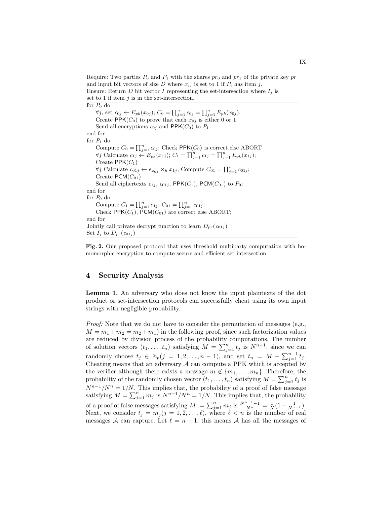Require: Two parties  $P_0$  and  $P_1$  with the shares  $pr_0$  and  $pr_1$  of the private key pr and input bit vectors of size  $D$  where  $x_{ij}$  is set to 1 if  $P_i$  has item j. Ensure: Return D bit vector I representing the set-intersection where  $I_i$  is set to 1 if item  $j$  is in the set-intersection.

for  $P_0$  do  $\forall j$ , set  $c_{0j} \leftarrow E_{pk}(x_{0j});$   $C_0 = \prod_{j=1}^n c_{0j} = \prod_{j=1}^n E_{pk}(x_{0j});$ Create PPK( $C_0$ ) to prove that each  $x_{0j}$  is either 0 or 1. Send all encryptions  $c_{0j}$  and PPK( $C_0$ ) to  $P_1$ end for for  $P_1$  do Compute  $C_0 = \prod_{j=1}^n c_{0j}$ ; Check PPK( $C_0$ ) is correct else ABORT  $\forall j$  Calculate  $c_{1j} \leftarrow E_{pk}(x_{1j});$   $C_1 = \prod_{j=1}^n c_{1j} = \prod_{j=1}^n E_{pk}(x_{1j});$ Create  $PPK(C_1)$  $\forall j$  Calculate  $c_{01j} \leftarrow e_{x_{0j}} \times_h x_{1j}$ ; Compute  $C_{01} = \prod_{j=1}^n c_{01j}$ ; Create  $\text{PCM}(C_{01})$ Send all ciphertexts  $c_{1j}$ ,  $c_{01j}$ , PPK( $C_1$ ), PCM( $C_{01}$ ) to  $P_0$ ; end for for  $P_0$  do Compute  $C_1 = \prod_{j=1}^n c_{1j}, C_{01} = \prod_{j=1}^n c_{01j};$ Check  $PPK(C_1)$ ,  $PCM(C_{01})$  are correct else ABORT; end for Jointly call private decrypt function to learn  $D_{pr}(c_{01j})$ Set  $I_j$  to  $D_{pr}(c_{01j})$ 

Fig. 2. Our proposed protocol that uses threshold multiparty computation with homomorphic encryption to compute secure and efficient set intersection

### 4 Security Analysis

Lemma 1. An adversary who does not know the input plaintexts of the dot product or set-intersection protocols can successfully cheat using its own input strings with negligible probability.

Proof: Note that we do not have to consider the permutation of messages (e.g.,  $M = m_1 + m_2 = m_2 + m_1$  in the following proof, since such factorization values are reduced by division process of the probability computations. The number of solution vectors  $(t_1, \ldots, t_n)$  satisfying  $M = \sum_{j=1}^n t_j$  is  $N^{n-1}$ , since we can randomly choose  $t_j \in \mathbb{Z}_p(j = 1, 2, \ldots, n-1)$ , and set  $t_n = M - \sum_{j=1}^{n-1} t_j$ . Cheating means that an adversary  $A$  can compute a PPK which is accepted by the verifier although there exists a message  $m \notin \{m_1, \ldots, m_n\}$ . Therefore, the probability of the randomly chosen vector  $(t_1, \ldots, t_n)$  satisfying  $M = \sum_{j=1}^n t_j$  is  $N^{n-1}/N^n = 1/N$ . This implies that, the probability of a proof of false message satisfying  $M = \sum_{j=1}^n m_j$  is  $N^{n-1}/N^n = 1/N$ . This implies that, the probability of a proof of false messages satisfying  $M := \sum_{j=1}^{n} m_j$  is  $\frac{N^{n-1}-1}{N^n} = \frac{1}{N} (1 - \frac{1}{N^{n-1}})$ . Next, we consider  $t_j = m_j (j = 1, 2, \ldots, \ell)$ , where  $\ell < n$  is the number of real messages A can capture. Let  $\ell = n - 1$ , this means A has all the messages of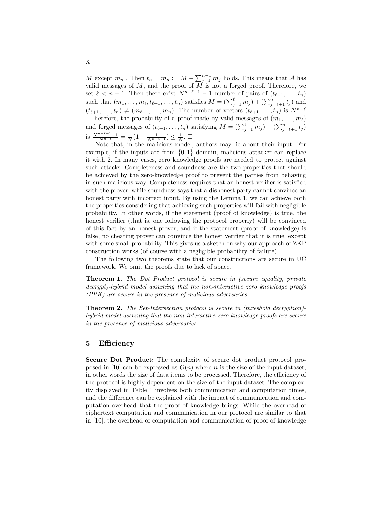M except  $m_n$ . Then  $t_n = m_n := M - \sum_{j=1}^{n-1} m_j$  holds. This means that A has valid messages of  $M$ , and the proof of  $\overrightarrow{M}$  is not a forged proof. Therefore, we set  $\ell < n - 1$ . Then there exist  $N^{n-\ell-1} - 1$  number of pairs of  $(t_{\ell+1}, \ldots, t_n)$ such that  $(m_1, \ldots, m_\ell, t_{\ell+1}, \ldots, t_n)$  satisfies  $M = (\sum_{j=1}^{\ell} m_j) + (\sum_{j=\ell+1}^{n} t_j)$  and  $(t_{\ell+1}, \ldots, t_n) \neq (m_{\ell+1}, \ldots, m_n)$ . The number of vectors  $(t_{\ell+1}, \ldots, t_n)$  is  $N^{n-\ell}$ . Therefore, the probability of a proof made by valid messages of  $(m_1, \ldots, m_\ell)$ and forged messages of  $(t_{\ell+1}, \ldots, t_n)$  satisfying  $M = (\sum_{j=1}^{\ell} m_j) + (\sum_{j=\ell+1}^{n} t_j)$ is  $\frac{N^{n-\ell-1}-1}{N^{n-\ell}} = \frac{1}{N}(1-\frac{1}{N^{n-\ell-1}})$  ≤  $\frac{1}{N}$ . □

Note that, in the malicious model, authors may lie about their input. For example, if the inputs are from  $\{0,1\}$  domain, malicious attacker can replace it with 2. In many cases, zero knowledge proofs are needed to protect against such attacks. Completeness and soundness are the two properties that should be achieved by the zero-knowledge proof to prevent the parties from behaving in such malicious way. Completeness requires that an honest verifier is satisfied with the prover, while soundness says that a dishonest party cannot convince an honest party with incorrect input. By using the Lemma 1, we can achieve both the properties considering that achieving such properties will fail with negligible probability. In other words, if the statement (proof of knowledge) is true, the honest verifier (that is, one following the protocol properly) will be convinced of this fact by an honest prover, and if the statement (proof of knowledge) is false, no cheating prover can convince the honest verifier that it is true, except with some small probability. This gives us a sketch on why our approach of ZKP construction works (of course with a negligible probability of failure).

The following two theorems state that our constructions are secure in UC framework. We omit the proofs due to lack of space.

**Theorem 1.** The Dot Product protocol is secure in (secure equality, private decrypt)-hybrid model assuming that the non-interactive zero knowledge proofs (PPK) are secure in the presence of malicious adversaries.

Theorem 2. The Set-Intersection protocol is secure in (threshold decryption) hybrid model assuming that the non-interactive zero knowledge proofs are secure in the presence of malicious adversaries.

# 5 Efficiency

Secure Dot Product: The complexity of secure dot product protocol proposed in [10] can be expressed as  $O(n)$  where n is the size of the input dataset, in other words the size of data items to be processed. Therefore, the efficiency of the protocol is highly dependent on the size of the input dataset. The complexity displayed in Table 1 involves both communication and computation times, and the difference can be explained with the impact of communication and computation overhead that the proof of knowledge brings. While the overhead of ciphertext computation and communication in our protocol are similar to that in [10], the overhead of computation and communication of proof of knowledge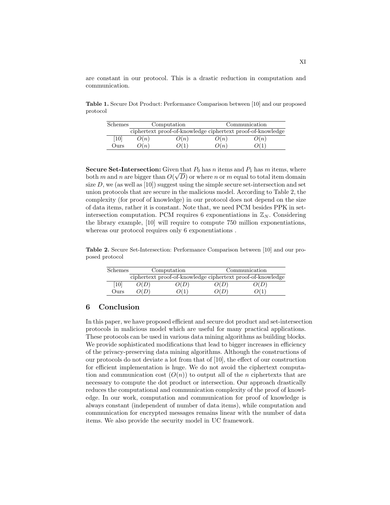are constant in our protocol. This is a drastic reduction in computation and communication.

Table 1. Secure Dot Product: Performance Comparison between [10] and our proposed protocol

| Schemes           | Computation |      | Communication |                                                             |
|-------------------|-------------|------|---------------|-------------------------------------------------------------|
|                   |             |      |               | ciphertext proof-of-knowledge ciphertext proof-of-knowledge |
| $\left[10\right]$ | O(n)        | O(n) | O(n)          | O(n)                                                        |
| Ours              | O(n)        |      | O(n)          |                                                             |

**Secure Set-Intersection:** Given that  $P_0$  has n items and  $P_1$  has m items, where both m and n are bigger than  $O(\sqrt{D})$  or where n or m equal to total item domain size  $D$ , we (as well as  $[10]$ ) suggest using the simple secure set-intersection and set union protocols that are secure in the malicious model. According to Table 2, the complexity (for proof of knowledge) in our protocol does not depend on the size of data items, rather it is constant. Note that, we need PCM besides PPK in setintersection computation. PCM requires 6 exponentiations in  $\mathbb{Z}_N$ . Considering the library example, [10] will require to compute 750 million exponentiations, whereas our protocol requires only 6 exponentiations .

Table 2. Secure Set-Intersection: Performance Comparison between [10] and our proposed protocol

| Schemes | Computation |  | Communication                                               |  |
|---------|-------------|--|-------------------------------------------------------------|--|
|         |             |  | ciphertext proof-of-knowledge ciphertext proof-of-knowledge |  |
| [10]    |             |  |                                                             |  |
| Ours    |             |  |                                                             |  |

# 6 Conclusion

In this paper, we have proposed efficient and secure dot product and set-intersection protocols in malicious model which are useful for many practical applications. These protocols can be used in various data mining algorithms as building blocks. We provide sophisticated modifications that lead to bigger increases in efficiency of the privacy-preserving data mining algorithms. Although the constructions of our protocols do not deviate a lot from that of [10], the effect of our construction for efficient implementation is huge. We do not avoid the ciphertext computation and communication cost  $(O(n))$  to output all of the *n* ciphertexts that are necessary to compute the dot product or intersection. Our approach drastically reduces the computational and communication complexity of the proof of knowledge. In our work, computation and communication for proof of knowledge is always constant (independent of number of data items), while computation and communication for encrypted messages remains linear with the number of data items. We also provide the security model in UC framework.